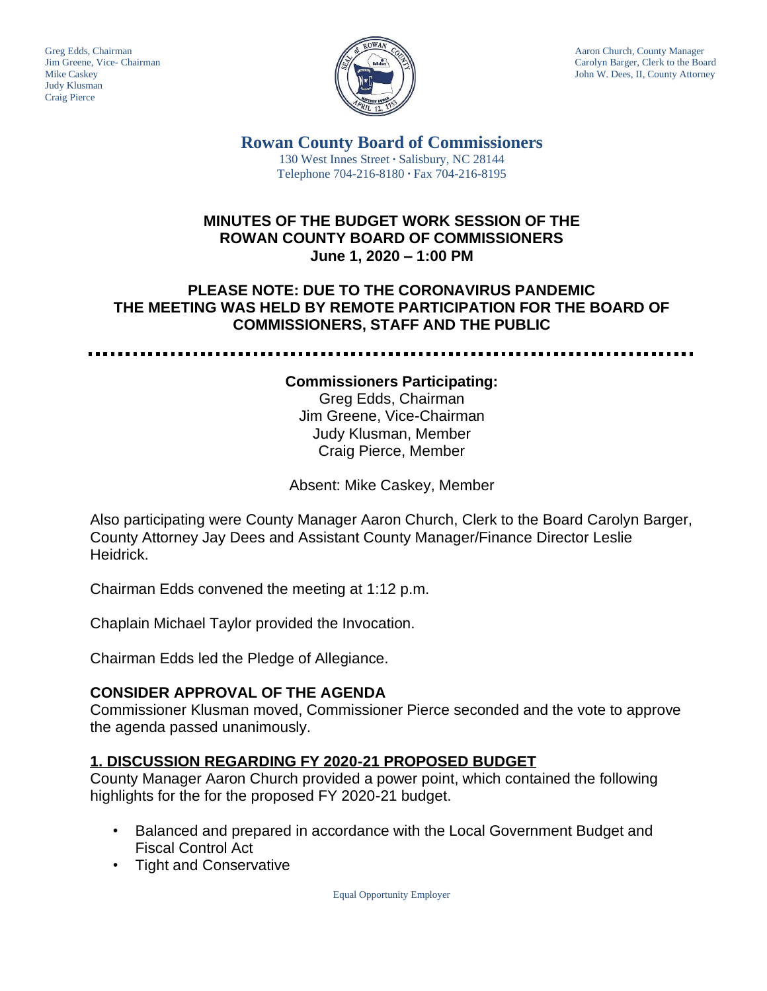

Greg Edds, Chairman Aaron Church, County Manager<br>Jim Greene, Vice- Chairman Aaron Church, County Manager<br>Carolyn Barger, Clerk to the Boa Carolyn Barger, Clerk to the Board Mike Caskey **John W. Dees, II, County Attorney** 

> **Rowan County Board of Commissioners** 130 West Innes Street **∙** Salisbury, NC 28144 Telephone 704-216-8180 **∙** Fax 704-216-8195

## **MINUTES OF THE BUDGET WORK SESSION OF THE ROWAN COUNTY BOARD OF COMMISSIONERS June 1, 2020 – 1:00 PM**

# **PLEASE NOTE: DUE TO THE CORONAVIRUS PANDEMIC THE MEETING WAS HELD BY REMOTE PARTICIPATION FOR THE BOARD OF COMMISSIONERS, STAFF AND THE PUBLIC**

### **Commissioners Participating:**

Greg Edds, Chairman Jim Greene, Vice-Chairman Judy Klusman, Member Craig Pierce, Member

Absent: Mike Caskey, Member

Also participating were County Manager Aaron Church, Clerk to the Board Carolyn Barger, County Attorney Jay Dees and Assistant County Manager/Finance Director Leslie Heidrick.

Chairman Edds convened the meeting at 1:12 p.m.

Chaplain Michael Taylor provided the Invocation.

Chairman Edds led the Pledge of Allegiance.

### **CONSIDER APPROVAL OF THE AGENDA**

Commissioner Klusman moved, Commissioner Pierce seconded and the vote to approve the agenda passed unanimously.

### **1. DISCUSSION REGARDING FY 2020-21 PROPOSED BUDGET**

County Manager Aaron Church provided a power point, which contained the following highlights for the for the proposed FY 2020-21 budget.

- Balanced and prepared in accordance with the Local Government Budget and Fiscal Control Act
- Tight and Conservative

Equal Opportunity Employer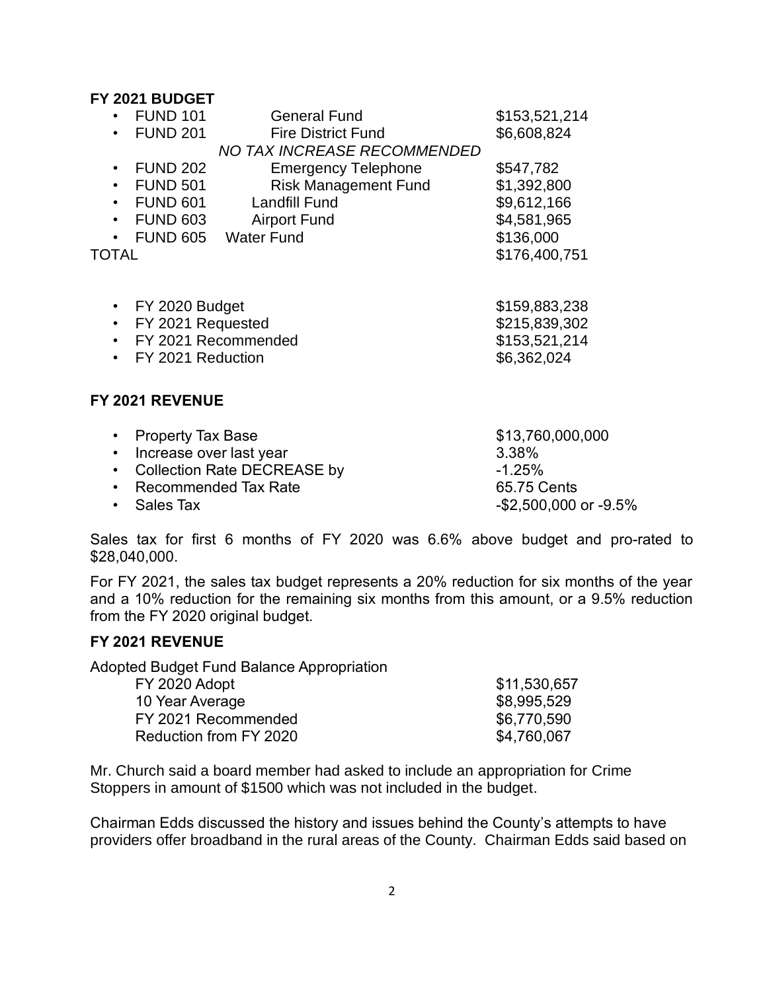### **FY 2021 BUDGET**

| <b>FUND 101</b><br><b>FUND 201</b><br>$\bullet$                                                                                                                              | <b>General Fund</b><br><b>Fire District Fund</b><br><b>NO TAX INCREASE RECOMMENDED</b>                                          | \$153,521,214<br>\$6,608,824                                                         |
|------------------------------------------------------------------------------------------------------------------------------------------------------------------------------|---------------------------------------------------------------------------------------------------------------------------------|--------------------------------------------------------------------------------------|
| <b>FUND 202</b><br>$\bullet$<br><b>FUND 501</b><br>$\bullet$<br><b>FUND 601</b><br>$\bullet$<br><b>FUND 603</b><br>$\bullet$<br>$\bullet$<br>TOTAL                           | <b>Emergency Telephone</b><br><b>Risk Management Fund</b><br><b>Landfill Fund</b><br><b>Airport Fund</b><br>FUND 605 Water Fund | \$547,782<br>\$1,392,800<br>\$9,612,166<br>\$4,581,965<br>\$136,000<br>\$176,400,751 |
| FY 2020 Budget<br>$\bullet$<br>FY 2021 Requested<br>$\bullet$<br>FY 2021 Recommended<br>FY 2021 Reduction<br>$\bullet$                                                       |                                                                                                                                 | \$159,883,238<br>\$215,839,302<br>\$153,521,214<br>\$6,362,024                       |
| <b>FY 2021 REVENUE</b>                                                                                                                                                       |                                                                                                                                 |                                                                                      |
| <b>Property Tax Base</b><br>$\bullet$<br>Increase over last year<br>$\bullet$<br><b>Collection Rate DECREASE by</b><br>$\bullet$<br><b>Recommended Tax Rate</b><br>$\bullet$ |                                                                                                                                 | \$13,760,000,000<br>3.38%<br>$-1.25%$<br>65.75 Cents                                 |

• Sales Tax -\$2,500,000 or -9.5%

Sales tax for first 6 months of FY 2020 was 6.6% above budget and pro-rated to \$28,040,000.

For FY 2021, the sales tax budget represents a 20% reduction for six months of the year and a 10% reduction for the remaining six months from this amount, or a 9.5% reduction from the FY 2020 original budget.

### **FY 2021 REVENUE**

Adopted Budget Fund Balance Appropriation

| FY 2020 Adopt          | \$11,530,657 |
|------------------------|--------------|
| 10 Year Average        | \$8,995,529  |
| FY 2021 Recommended    | \$6,770,590  |
| Reduction from FY 2020 | \$4,760,067  |

Mr. Church said a board member had asked to include an appropriation for Crime Stoppers in amount of \$1500 which was not included in the budget.

Chairman Edds discussed the history and issues behind the County's attempts to have providers offer broadband in the rural areas of the County. Chairman Edds said based on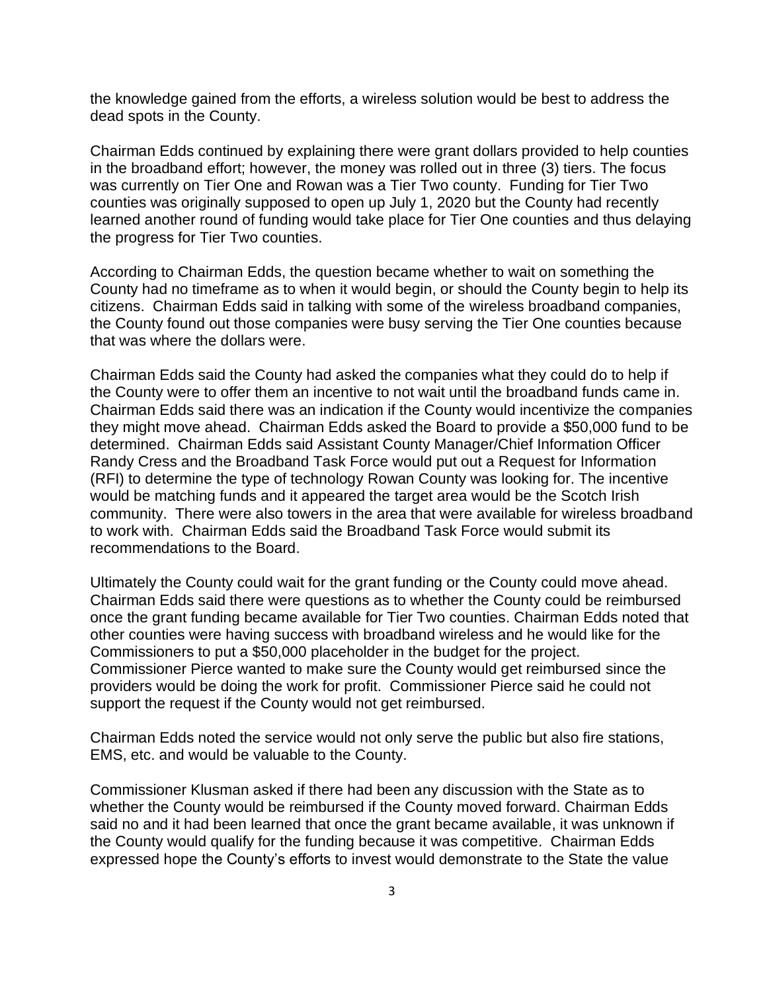the knowledge gained from the efforts, a wireless solution would be best to address the dead spots in the County.

Chairman Edds continued by explaining there were grant dollars provided to help counties in the broadband effort; however, the money was rolled out in three (3) tiers. The focus was currently on Tier One and Rowan was a Tier Two county. Funding for Tier Two counties was originally supposed to open up July 1, 2020 but the County had recently learned another round of funding would take place for Tier One counties and thus delaying the progress for Tier Two counties.

According to Chairman Edds, the question became whether to wait on something the County had no timeframe as to when it would begin, or should the County begin to help its citizens. Chairman Edds said in talking with some of the wireless broadband companies, the County found out those companies were busy serving the Tier One counties because that was where the dollars were.

Chairman Edds said the County had asked the companies what they could do to help if the County were to offer them an incentive to not wait until the broadband funds came in. Chairman Edds said there was an indication if the County would incentivize the companies they might move ahead. Chairman Edds asked the Board to provide a \$50,000 fund to be determined. Chairman Edds said Assistant County Manager/Chief Information Officer Randy Cress and the Broadband Task Force would put out a Request for Information (RFI) to determine the type of technology Rowan County was looking for. The incentive would be matching funds and it appeared the target area would be the Scotch Irish community. There were also towers in the area that were available for wireless broadband to work with. Chairman Edds said the Broadband Task Force would submit its recommendations to the Board.

Ultimately the County could wait for the grant funding or the County could move ahead. Chairman Edds said there were questions as to whether the County could be reimbursed once the grant funding became available for Tier Two counties. Chairman Edds noted that other counties were having success with broadband wireless and he would like for the Commissioners to put a \$50,000 placeholder in the budget for the project. Commissioner Pierce wanted to make sure the County would get reimbursed since the providers would be doing the work for profit. Commissioner Pierce said he could not support the request if the County would not get reimbursed.

Chairman Edds noted the service would not only serve the public but also fire stations, EMS, etc. and would be valuable to the County.

Commissioner Klusman asked if there had been any discussion with the State as to whether the County would be reimbursed if the County moved forward. Chairman Edds said no and it had been learned that once the grant became available, it was unknown if the County would qualify for the funding because it was competitive. Chairman Edds expressed hope the County's efforts to invest would demonstrate to the State the value